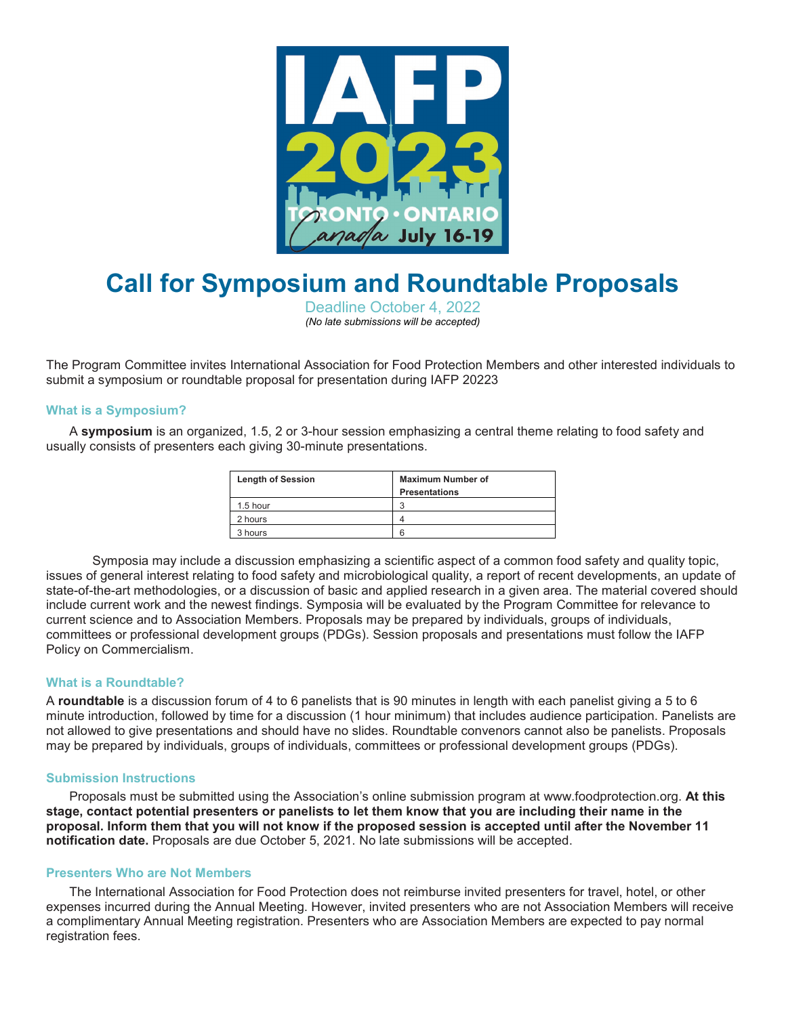

# **Call for Symposium and Roundtable Proposals**

Deadline October 4, 2022 *(No late submissions will be accepted)*

The Program Committee invites International Association for Food Protection Members and other interested individuals to submit a symposium or roundtable proposal for presentation during IAFP 20223

#### **What is a Symposium?**

A **symposium** is an organized, 1.5, 2 or 3-hour session emphasizing a central theme relating to food safety and usually consists of presenters each giving 30-minute presentations.

| <b>Length of Session</b> | <b>Maximum Number of</b><br><b>Presentations</b> |
|--------------------------|--------------------------------------------------|
| 1.5 hour                 |                                                  |
| 2 hours                  |                                                  |
| 3 hours                  | ิค                                               |

Symposia may include a discussion emphasizing a scientific aspect of a common food safety and quality topic, issues of general interest relating to food safety and microbiological quality, a report of recent developments, an update of state-of-the-art methodologies, or a discussion of basic and applied research in a given area. The material covered should include current work and the newest findings. Symposia will be evaluated by the Program Committee for relevance to current science and to Association Members. Proposals may be prepared by individuals, groups of individuals, committees or professional development groups (PDGs). Session proposals and presentations must follow the IAFP Policy on Commercialism.

#### **What is a Roundtable?**

A **roundtable** is a discussion forum of 4 to 6 panelists that is 90 minutes in length with each panelist giving a 5 to 6 minute introduction, followed by time for a discussion (1 hour minimum) that includes audience participation. Panelists are not allowed to give presentations and should have no slides. Roundtable convenors cannot also be panelists. Proposals may be prepared by individuals, groups of individuals, committees or professional development groups (PDGs).

#### **Submission Instructions**

Proposals must be submitted using the Association's online submission program at www.foodprotection.org. **At this stage, contact potential presenters or panelists to let them know that you are including their name in the proposal. Inform them that you will not know if the proposed session is accepted until after the November 11 notification date.** Proposals are due October 5, 2021. No late submissions will be accepted.

### **Presenters Who are Not Members**

The International Association for Food Protection does not reimburse invited presenters for travel, hotel, or other expenses incurred during the Annual Meeting. However, invited presenters who are not Association Members will receive a complimentary Annual Meeting registration. Presenters who are Association Members are expected to pay normal registration fees.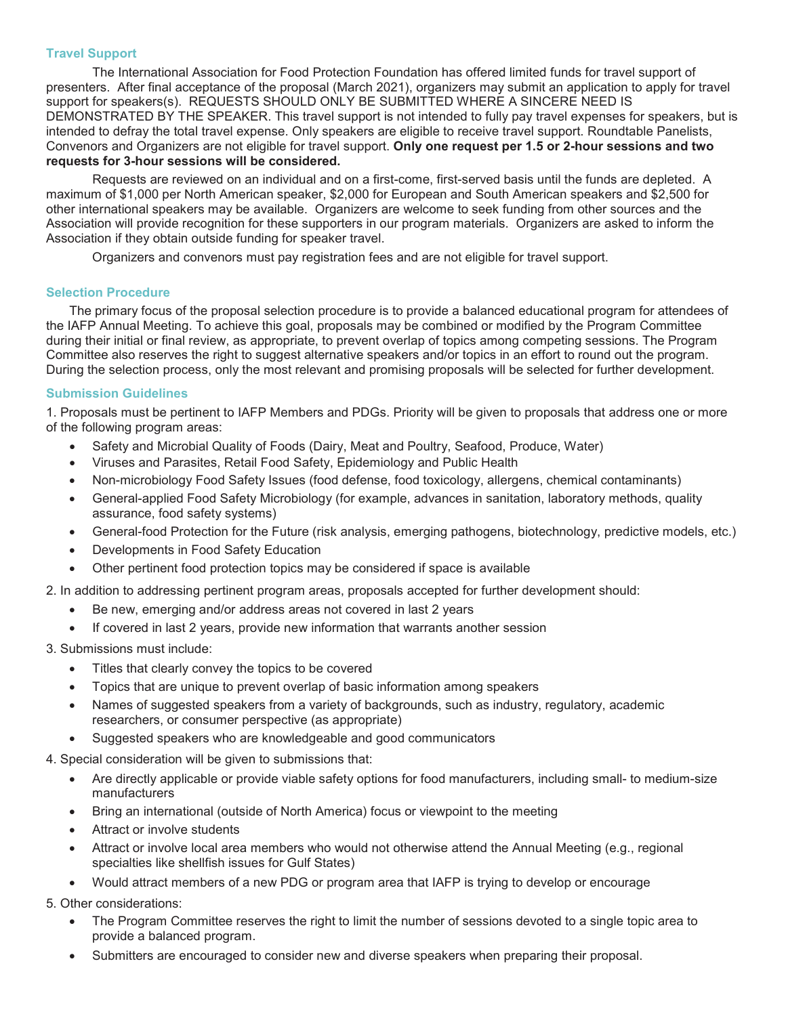## **Travel Support**

The International Association for Food Protection Foundation has offered limited funds for travel support of presenters. After final acceptance of the proposal (March 2021), organizers may submit an application to apply for travel support for speakers(s). REQUESTS SHOULD ONLY BE SUBMITTED WHERE A SINCERE NEED IS DEMONSTRATED BY THE SPEAKER. This travel support is not intended to fully pay travel expenses for speakers, but is intended to defray the total travel expense. Only speakers are eligible to receive travel support. Roundtable Panelists, Convenors and Organizers are not eligible for travel support. **Only one request per 1.5 or 2-hour sessions and two requests for 3-hour sessions will be considered.**

Requests are reviewed on an individual and on a first-come, first-served basis until the funds are depleted. A maximum of \$1,000 per North American speaker, \$2,000 for European and South American speakers and \$2,500 for other international speakers may be available. Organizers are welcome to seek funding from other sources and the Association will provide recognition for these supporters in our program materials. Organizers are asked to inform the Association if they obtain outside funding for speaker travel.

Organizers and convenors must pay registration fees and are not eligible for travel support.

#### **Selection Procedure**

The primary focus of the proposal selection procedure is to provide a balanced educational program for attendees of the IAFP Annual Meeting. To achieve this goal, proposals may be combined or modified by the Program Committee during their initial or final review, as appropriate, to prevent overlap of topics among competing sessions. The Program Committee also reserves the right to suggest alternative speakers and/or topics in an effort to round out the program. During the selection process, only the most relevant and promising proposals will be selected for further development.

## **Submission Guidelines**

1. Proposals must be pertinent to IAFP Members and PDGs. Priority will be given to proposals that address one or more of the following program areas:

- Safety and Microbial Quality of Foods (Dairy, Meat and Poultry, Seafood, Produce, Water)
- Viruses and Parasites, Retail Food Safety, Epidemiology and Public Health
- Non-microbiology Food Safety Issues (food defense, food toxicology, allergens, chemical contaminants)
- General-applied Food Safety Microbiology (for example, advances in sanitation, laboratory methods, quality assurance, food safety systems)
- General-food Protection for the Future (risk analysis, emerging pathogens, biotechnology, predictive models, etc.)
- Developments in Food Safety Education
- Other pertinent food protection topics may be considered if space is available

2. In addition to addressing pertinent program areas, proposals accepted for further development should:

- Be new, emerging and/or address areas not covered in last 2 years
- If covered in last 2 years, provide new information that warrants another session

## 3. Submissions must include:

- Titles that clearly convey the topics to be covered
- Topics that are unique to prevent overlap of basic information among speakers
- Names of suggested speakers from a variety of backgrounds, such as industry, regulatory, academic researchers, or consumer perspective (as appropriate)
- Suggested speakers who are knowledgeable and good communicators

4. Special consideration will be given to submissions that:

- Are directly applicable or provide viable safety options for food manufacturers, including small- to medium-size manufacturers
- Bring an international (outside of North America) focus or viewpoint to the meeting
- Attract or involve students
- Attract or involve local area members who would not otherwise attend the Annual Meeting (e.g., regional specialties like shellfish issues for Gulf States)
- Would attract members of a new PDG or program area that IAFP is trying to develop or encourage

5. Other considerations:

- The Program Committee reserves the right to limit the number of sessions devoted to a single topic area to provide a balanced program.
- Submitters are encouraged to consider new and diverse speakers when preparing their proposal.